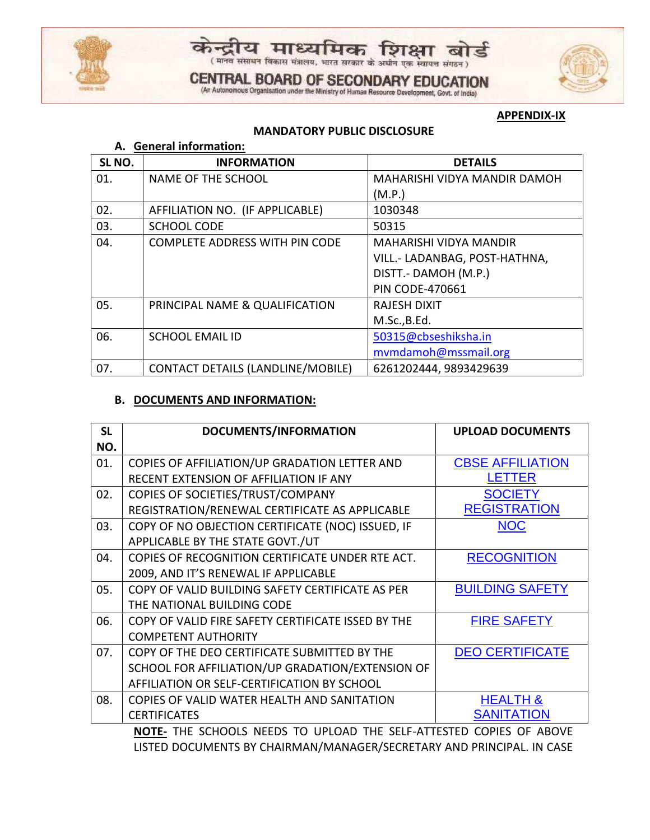



# **CENTRAL BOARD OF SECONDARY EDUCATION** (An Autonomous Organisation under the Ministry of Human Resource Development, Govt. of India)



#### **APPENDIX-IX**

## **MANDATORY PUBLIC DISCLOSURE**

| A. General information: |                                          |                               |  |
|-------------------------|------------------------------------------|-------------------------------|--|
| SL <sub>NO</sub> .      | <b>INFORMATION</b>                       | <b>DETAILS</b>                |  |
| 01.                     | <b>NAME OF THE SCHOOL</b>                | MAHARISHI VIDYA MANDIR DAMOH  |  |
|                         |                                          | (M.P.)                        |  |
| 02.                     | AFFILIATION NO. (IF APPLICABLE)          | 1030348                       |  |
| 03.                     | <b>SCHOOL CODE</b>                       | 50315                         |  |
| 04.                     | <b>COMPLETE ADDRESS WITH PIN CODE</b>    | <b>MAHARISHI VIDYA MANDIR</b> |  |
|                         |                                          | VILL.- LADANBAG, POST-HATHNA, |  |
|                         |                                          | DISTT.- DAMOH (M.P.)          |  |
|                         |                                          | <b>PIN CODE-470661</b>        |  |
| 05.                     | PRINCIPAL NAME & QUALIFICATION           | <b>RAJESH DIXIT</b>           |  |
|                         |                                          | M.Sc., B.Ed.                  |  |
| 06.                     | <b>SCHOOL EMAIL ID</b>                   | 50315@cbseshiksha.in          |  |
|                         |                                          | mymdamoh@mssmail.org          |  |
| 07.                     | <b>CONTACT DETAILS (LANDLINE/MOBILE)</b> | 6261202444, 9893429639        |  |

## **B. DOCUMENTS AND INFORMATION:**

| <b>SL</b>                                     | <b>DOCUMENTS/INFORMATION</b>                       | <b>UPLOAD DOCUMENTS</b> |  |
|-----------------------------------------------|----------------------------------------------------|-------------------------|--|
| NO.                                           |                                                    |                         |  |
| 01.                                           | COPIES OF AFFILIATION/UP GRADATION LETTER AND      | <b>CBSE AFFILIATION</b> |  |
|                                               | RECENT EXTENSION OF AFFILIATION IF ANY             | LETTER                  |  |
| 02.                                           | COPIES OF SOCIETIES/TRUST/COMPANY                  | <b>SOCIETY</b>          |  |
|                                               | REGISTRATION/RENEWAL CERTIFICATE AS APPLICABLE     | <b>REGISTRATION</b>     |  |
| 03.                                           | COPY OF NO OBJECTION CERTIFICATE (NOC) ISSUED, IF  | <b>NOC</b>              |  |
|                                               | APPLICABLE BY THE STATE GOVT./UT                   |                         |  |
| 04.                                           | COPIES OF RECOGNITION CERTIFICATE UNDER RTE ACT.   | <b>RECOGNITION</b>      |  |
|                                               | 2009, AND IT'S RENEWAL IF APPLICABLE               |                         |  |
| 05.                                           | COPY OF VALID BUILDING SAFETY CERTIFICATE AS PER   | <b>BUILDING SAFETY</b>  |  |
|                                               | THE NATIONAL BUILDING CODE                         |                         |  |
| 06.                                           | COPY OF VALID FIRE SAFETY CERTIFICATE ISSED BY THE | <b>FIRE SAFETY</b>      |  |
|                                               | <b>COMPETENT AUTHORITY</b>                         |                         |  |
| 07.                                           | COPY OF THE DEO CERTIFICATE SUBMITTED BY THE       | <b>DEO CERTIFICATE</b>  |  |
|                                               | SCHOOL FOR AFFILIATION/UP GRADATION/EXTENSION OF   |                         |  |
|                                               | AFFILIATION OR SELF-CERTIFICATION BY SCHOOL        |                         |  |
| 08.                                           | COPIES OF VALID WATER HEALTH AND SANITATION        | <b>HEALTH &amp;</b>     |  |
|                                               | <b>CERTIFICATES</b>                                | SANITATION              |  |
| THE COHOOLS NEEDS TO HOLOAD THE SELE ATTESTED |                                                    |                         |  |

**NOTE-** THE SCHOOLS NEEDS TO UPLOAD THE SELF-ATTESTED COPIES OF ABOVE LISTED DOCUMENTS BY CHAIRMAN/MANAGER/SECRETARY AND PRINCIPAL. IN CASE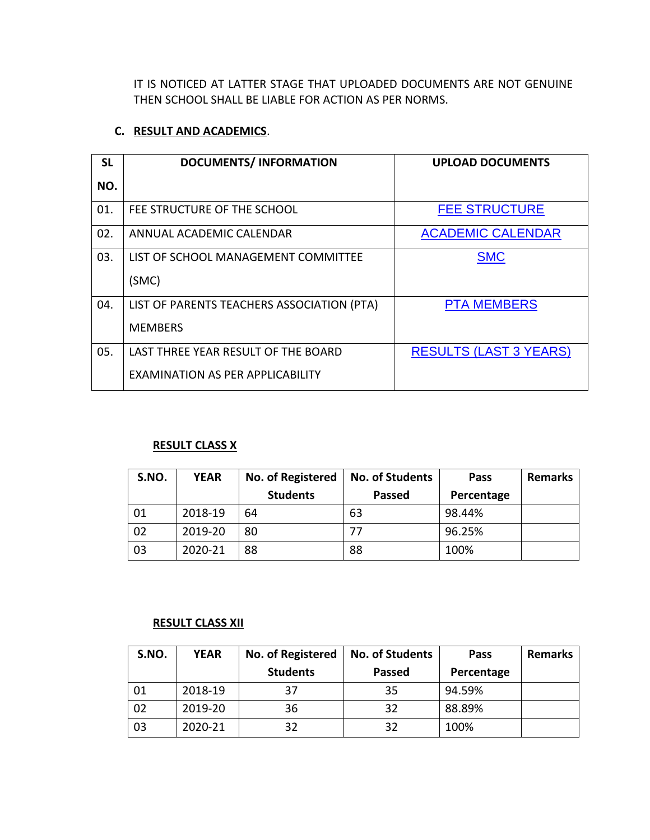IT IS NOTICED AT LATTER STAGE THAT UPLOADED DOCUMENTS ARE NOT GENUINE THEN SCHOOL SHALL BE LIABLE FOR ACTION AS PER NORMS.

## **C. RESULT AND ACADEMICS**.

| <b>SL</b> | <b>DOCUMENTS/INFORMATION</b>               | <b>UPLOAD DOCUMENTS</b>       |
|-----------|--------------------------------------------|-------------------------------|
| NO.       |                                            |                               |
| 01.       | FEE STRUCTURE OF THE SCHOOL                | <b>FEE STRUCTURE</b>          |
| 02.       | ANNUAL ACADEMIC CALENDAR                   | <b>ACADEMIC CALENDAR</b>      |
| 03.       | LIST OF SCHOOL MANAGEMENT COMMITTEE        | <b>SMC</b>                    |
|           | (SMC)                                      |                               |
| 04.       | LIST OF PARENTS TEACHERS ASSOCIATION (PTA) | <b>PTA MEMBERS</b>            |
|           | <b>MEMBERS</b>                             |                               |
| 05.       | LAST THREE YEAR RESULT OF THE BOARD        | <b>RESULTS (LAST 3 YEARS)</b> |
|           | EXAMINATION AS PER APPLICABILITY           |                               |

# **RESULT CLASS X**

| S.NO. | <b>YEAR</b> | <b>No. of Registered</b> | <b>No. of Students</b> | Pass       | <b>Remarks</b> |
|-------|-------------|--------------------------|------------------------|------------|----------------|
|       |             | <b>Students</b>          | <b>Passed</b>          | Percentage |                |
| 01    | 2018-19     | 64                       | 63                     | 98.44%     |                |
| 02    | 2019-20     | 80                       |                        | 96.25%     |                |
| 03    | 2020-21     | 88                       | 88                     | 100%       |                |

### **RESULT CLASS XII**

| S.NO. | <b>YEAR</b> | No. of Registered | <b>No. of Students</b> | Pass       | <b>Remarks</b> |
|-------|-------------|-------------------|------------------------|------------|----------------|
|       |             | <b>Students</b>   | <b>Passed</b>          | Percentage |                |
| 01    | 2018-19     | 37                | 35                     | 94.59%     |                |
| 02    | 2019-20     | 36                | 32                     | 88.89%     |                |
| 03    | 2020-21     | 32                | 32                     | 100%       |                |